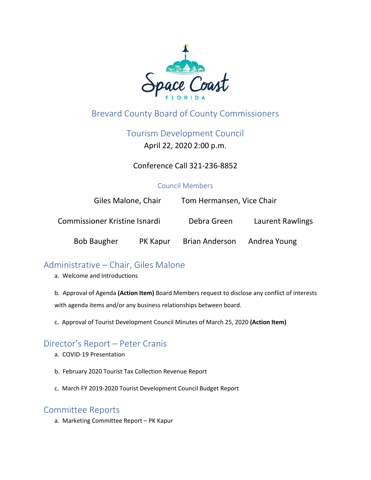

# Brevard County Board of County Commissioners

Tourism Development Council

April 22, 2020 2:00 p.m.

Conference Call 321-236-8852

#### Council Members

| Giles Malone, Chair           |          | Tom Hermansen, Vice Chair |                  |
|-------------------------------|----------|---------------------------|------------------|
| Commissioner Kristine Isnardi |          | Debra Green               | Laurent Rawlings |
| <b>Bob Baugher</b>            | PK Kapur | <b>Brian Anderson</b>     | Andrea Young     |

## Administrative – Chair, Giles Malone

a. Welcome and Introductions

b. Approval of Agenda **(Action Item)** Board Members request to disclose any conflict of interests with agenda items and/or any business relationships between board.

c. Approval of Tourist Development Council Minutes of March 25, 2020 **(Action Item)**

### Director's Report – Peter Cranis

- a. COVID-19 Presentation
- b. February 2020 Tourist Tax Collection Revenue Report
- c. March FY 2019-2020 Tourist Development Council Budget Report

#### Committee Reports

a. Marketing Committee Report – PK Kapur